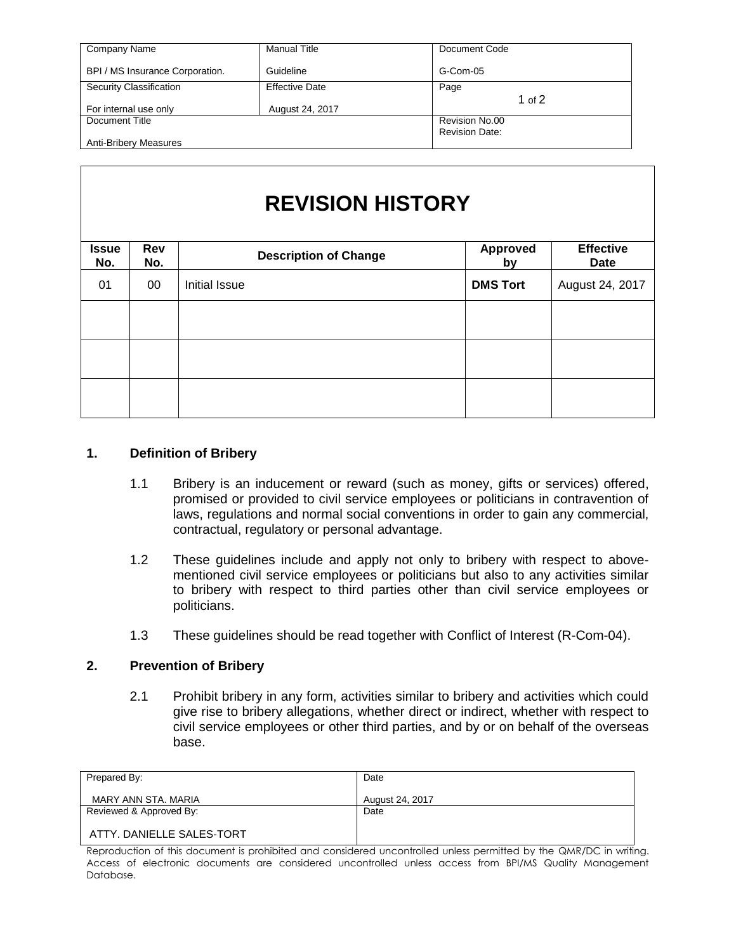| Company Name                    | <b>Manual Title</b>   | Document Code         |
|---------------------------------|-----------------------|-----------------------|
| BPI / MS Insurance Corporation. | Guideline             | G-Com-05              |
| Security Classification         | <b>Effective Date</b> | Page                  |
|                                 |                       | 1 of $2$              |
| For internal use only           | August 24, 2017       |                       |
| Document Title                  |                       | Revision No.00        |
|                                 |                       | <b>Revision Date:</b> |
| <b>Anti-Bribery Measures</b>    |                       |                       |

## **REVISION HISTORY**

| <b>Issue</b><br>No. | Rev<br>No. | <b>Description of Change</b> | <b>Approved</b><br>by | <b>Effective</b><br>Date |
|---------------------|------------|------------------------------|-----------------------|--------------------------|
| 01                  | $00\,$     | Initial Issue                | <b>DMS Tort</b>       | August 24, 2017          |
|                     |            |                              |                       |                          |
|                     |            |                              |                       |                          |
|                     |            |                              |                       |                          |
|                     |            |                              |                       |                          |

## **1. Definition of Bribery**

- 1.1 Bribery is an inducement or reward (such as money, gifts or services) offered, promised or provided to civil service employees or politicians in contravention of laws, regulations and normal social conventions in order to gain any commercial, contractual, regulatory or personal advantage.
- 1.2 These guidelines include and apply not only to bribery with respect to abovementioned civil service employees or politicians but also to any activities similar to bribery with respect to third parties other than civil service employees or politicians.
- 1.3 These guidelines should be read together with Conflict of Interest (R-Com-04).

## **2. Prevention of Bribery**

2.1 Prohibit bribery in any form, activities similar to bribery and activities which could give rise to bribery allegations, whether direct or indirect, whether with respect to civil service employees or other third parties, and by or on behalf of the overseas base.

| Prepared By:              | Date            |
|---------------------------|-----------------|
| MARY ANN STA, MARIA       | August 24, 2017 |
| Reviewed & Approved By:   | Date            |
| ATTY. DANIELLE SALES-TORT |                 |

Reproduction of this document is prohibited and considered uncontrolled unless permitted by the QMR/DC in writing. Access of electronic documents are considered uncontrolled unless access from BPI/MS Quality Management Database.